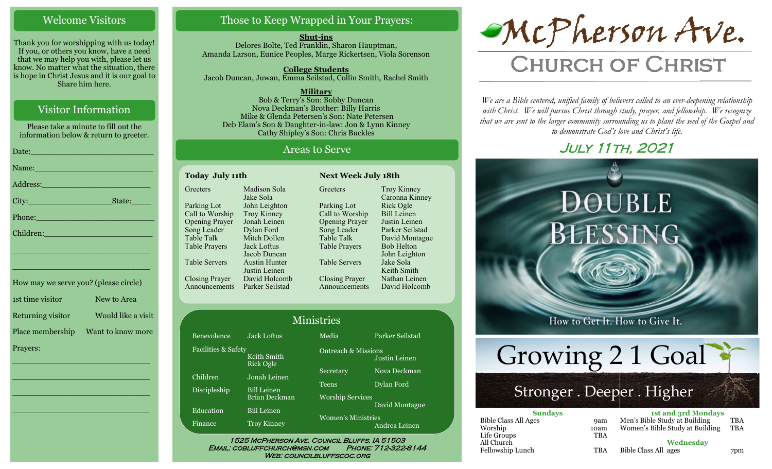### Welcome Visitors

Thank you for worshipping with us today! If you, or others you know, have a need that we may help you with, please let us know. No matter what the situation, there is hope in Christ Jesus and it is our goal to Share him here.

# Visitor Information

Please take a minute to fill out the information below & return to greeter.

| Address: Andrea Maria Company and Maria Company and Maria Company and Maria Company and Maria Company and Maria Company and Maria Company and Maria Company and Maria Company and Maria Company and Maria Company and Maria Co |
|--------------------------------------------------------------------------------------------------------------------------------------------------------------------------------------------------------------------------------|
|                                                                                                                                                                                                                                |
|                                                                                                                                                                                                                                |
| Children: New York Children                                                                                                                                                                                                    |
|                                                                                                                                                                                                                                |

\_\_\_\_\_\_\_\_\_\_\_\_\_\_\_\_\_\_\_\_\_\_\_\_\_\_\_\_

\_\_\_\_\_\_\_\_\_\_\_\_\_\_\_\_\_\_\_\_\_\_\_\_\_\_\_\_

| How may we serve you? (please circle) |                    |
|---------------------------------------|--------------------|
| 1st time visitor                      | New to Area        |
| Returning visitor                     | Would like a visit |
| Place membership                      | Want to know more  |
| Prayers:                              |                    |

\_\_\_\_\_\_\_\_\_\_\_\_\_\_\_\_\_\_\_\_\_\_\_\_\_\_\_\_

 $\overline{\phantom{a}}$  , and the set of the set of the set of the set of the set of the set of the set of the set of the set of the set of the set of the set of the set of the set of the set of the set of the set of the set of the s

 $\overline{\phantom{a}}$  , and the set of the set of the set of the set of the set of the set of the set of the set of the set of the set of the set of the set of the set of the set of the set of the set of the set of the set of the s

\_\_\_\_\_\_\_\_\_\_\_\_\_\_\_\_\_\_\_\_\_\_\_\_\_\_\_\_

# Those to Keep Wrapped in Your Prayers:

**Shut-ins** Delores Bolte, Ted Franklin, Sharon Hauptman, Amanda Larson, Eunice Peoples, Marge Rickertsen, Viola Sorenson

**College Students**  Jacob Duncan, Juwan, Emma Seilstad, Collin Smith, Rachel Smith

**Military** Bob & Terry's Son: Bobby Duncan Nova Deckman's Brother: Billy Harris Mike & Glenda Petersen's Son: Nate Petersen Deb Elam's Son & Daughter-in-law: Jon & Lynn Kinney Cathy Shipley's Son: Chris Buckles

### Areas to Serve

| <b>Today July 11th</b> |                      |  |
|------------------------|----------------------|--|
| Greeters               | Madison Sola         |  |
|                        | Jake Sola            |  |
| Parking Lot            | John Leighton        |  |
| Call to Worship        | <b>Troy Kinney</b>   |  |
| <b>Opening Prayer</b>  | Jonah Leinen         |  |
| Song Leader            | Dylan Ford           |  |
| Table Talk             | Mitch Dollen         |  |
| <b>Table Prayers</b>   | Jack Loftus          |  |
|                        | Jacob Duncan         |  |
| Table Servers          | <b>Austin Hunter</b> |  |
|                        | Justin Leinen        |  |
| <b>Closing Prayer</b>  | David Holcomb        |  |
| Announcements          | Parker Seilstad      |  |
|                        |                      |  |

**Greeters** Parking Lot Call to Worship Opening Prayer Song Leader Table Talk Table Prayers Table Servers Closing Prayer Announcements Troy Kinney Caronna Kinney Rick Ogle Bill Leinen Justin Leinen Parker Seilstad David Montague Bob Helton John Leighton Jake Sola Keith Smith Nathan Leinen David Holcomb

**Next Week July 18th** 

| <b>Ministries</b>   |                          |                                |                 |  |
|---------------------|--------------------------|--------------------------------|-----------------|--|
| Benevolence         | <b>Jack Loftus</b>       | Media                          | Parker Seilstad |  |
| Facilities & Safety | Keith Smith<br>Rick Ogle | <b>Outreach &amp; Missions</b> | Justin Leinen   |  |
| Children            | Jonah Leinen             | Secretary                      | Nova Deckman    |  |
| Discipleship        | <b>Bill Leinen</b>       | Teens                          | Dylan Ford      |  |
|                     | <b>Brian Deckman</b>     | <b>Worship Services</b>        |                 |  |
| Education           | <b>Bill Leinen</b>       |                                | David Montague  |  |
| Finance             | <b>Troy Kinney</b>       | <b>Women's Ministries</b>      | Andrea Leinen   |  |

WEB: COUNCILBLUFFSCOC.ORG

McPherson Ave.

# **CHURCH OF CHRIST**

*We are a Bible centered, unified family of believers called to an ever-deepening relationship*  with Christ. We will pursue Christ through study, prayer, and fellowship. We recognize *that we are sent to the larger community surrounding us to plant the seed of the Gospel and to demonstrate God's love and Christ's life.*

# July 11th, 2021